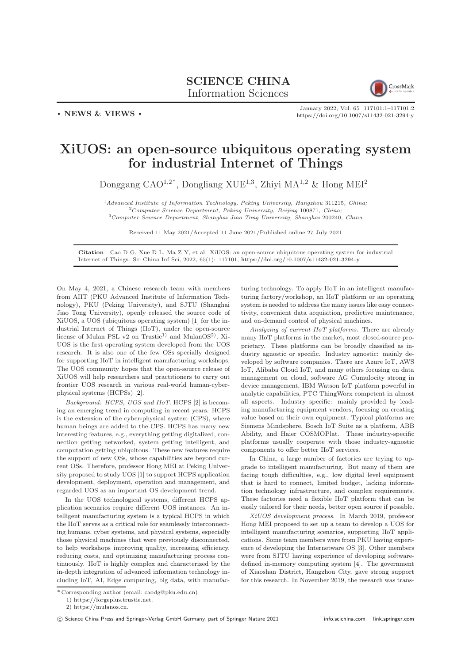## SCIENCE CHINA Information Sciences



. NEWS & VIEWS .

January 2022, Vol. 65 117101:1–117101[:2](#page-1-0) <https://doi.org/10.1007/s11432-021-3294-y>

## XiUOS: an open-source ubiquitous operating system for industrial Internet of Things

Donggang CAO<sup>1,2\*</sup>, Dongliang XUE<sup>1,3</sup>, Zhiyi MA<sup>1,2</sup> & Hong MEI<sup>2</sup>

 $1$ Advanced Institute of Information Technology, Peking University, Hangzhou 311215, China; <sup>2</sup>Computer Science Department, Peking University, Beijing 100871, China; <sup>3</sup>Computer Science Department, Shanghai Jiao Tong University, Shanghai 200240, China

Received 11 May 2021/Accepted 11 June 2021/Published online 27 July 2021

Citation Cao D G, Xue D L, Ma Z Y, et al. XiUOS: an open-source ubiquitous operating system for industrial Internet of Things. Sci China Inf Sci, 2022, 65(1): 117101, <https://doi.org/10.1007/s11432-021-3294-y>

On May 4, 2021, a Chinese research team with members from AIIT (PKU Advanced Institute of Information Technology), PKU (Peking University), and SJTU (Shanghai Jiao Tong University), openly released the source code of XiUOS, a UOS (ubiquitous operating system) [\[1\]](#page-1-1) for the industrial Internet of Things (IIoT), under the open-source license of Mulan PSL v2 on Trustie<sup>1)</sup> and MulanOS<sup>2)</sup>. Xi-UOS is the first operating system developed from the UOS research. It is also one of the few OSs specially designed for supporting IIoT in intelligent manufacturing workshops. The UOS community hopes that the open-source release of XiUOS will help researchers and practitioners to carry out frontier UOS research in various real-world human-cyberphysical systems (HCPSs) [\[2\]](#page-1-2).

Background: HCPS, UOS and IIoT. HCPS [\[2\]](#page-1-2) is becoming an emerging trend in computing in recent years. HCPS is the extension of the cyber-physical system (CPS), where human beings are added to the CPS. HCPS has many new interesting features, e.g., everything getting digitalized, connection getting networked, system getting intelligent, and computation getting ubiquitous. These new features require the support of new OSs, whose capabilities are beyond current OSs. Therefore, professor Hong MEI at Peking University proposed to study UOS [\[1\]](#page-1-1) to support HCPS application development, deployment, operation and management, and regarded UOS as an important OS development trend.

In the UOS technological systems, different HCPS application scenarios require different UOS instances. An intelligent manufacturing system is a typical HCPS in which the IIoT serves as a critical role for seamlessly interconnecting humans, cyber systems, and physical systems, especially those physical machines that were previously disconnected, to help workshops improving quality, increasing efficiency, reducing costs, and optimizing manufacturing process continuously. IIoT is highly complex and characterized by the in-depth integration of advanced information technology including IoT, AI, Edge computing, big data, with manufacturing technology. To apply IIoT in an intelligent manufacturing factory/workshop, an IIoT platform or an operating system is needed to address the many issues like easy connectivity, convenient data acquisition, predictive maintenance, and on-demand control of physical machines.

Analyzing of current IIoT platforms. There are already many IIoT platforms in the market, most closed-source proprietary. These platforms can be broadly classified as industry agnostic or specific. Industry agnostic: mainly developed by software companies. There are Azure IoT, AWS IoT, Alibaba Cloud IoT, and many others focusing on data management on cloud, software AG Cumulocity strong in device management, IBM Watson IoT platform powerful in analytic capabilities, PTC ThingWorx competent in almost all aspects. Industry specific: mainly provided by leading manufacturing equipment vendors, focusing on creating value based on their own equipment. Typical platforms are Siemens Mindsphere, Bosch IoT Suite as a platform, ABB Ability, and Haier COSMOPlat. These industry-specific platforms usually cooperate with those industry-agnostic components to offer better IIoT services.

In China, a large number of factories are trying to upgrade to intelligent manufacturing. But many of them are facing tough difficulties, e.g., low digital level equipment that is hard to connect, limited budget, lacking information technology infrastructure, and complex requirements. These factories need a flexible IIoT platform that can be easily tailored for their needs, better open source if possible.

XiUOS development process. In March 2019, professor Hong MEI proposed to set up a team to develop a UOS for intelligent manufacturing scenarios, supporting IIoT applications. Some team members were from PKU having experience of developing the Internetware OS [\[3\]](#page-1-3). Other members were from SJTU having experience of developing softwaredefined in-memory computing system [\[4\]](#page-1-4). The government of Xiaoshan District, Hangzhou City, gave strong support for this research. In November 2019, the research was trans-

<sup>\*</sup> Corresponding author (email: caodg@pku.edu.cn)

<sup>1)</sup> [https://forgeplus.trustie.net.](https://forgeplus.trustie.net) 2) [https://mulanos.cn.](https://mulanos.cn)

<sup>(</sup>C) Science China Press and Springer-Verlag GmbH Germany, part of Springer Nature 2021 <info.scichina.com><link.springer.com>